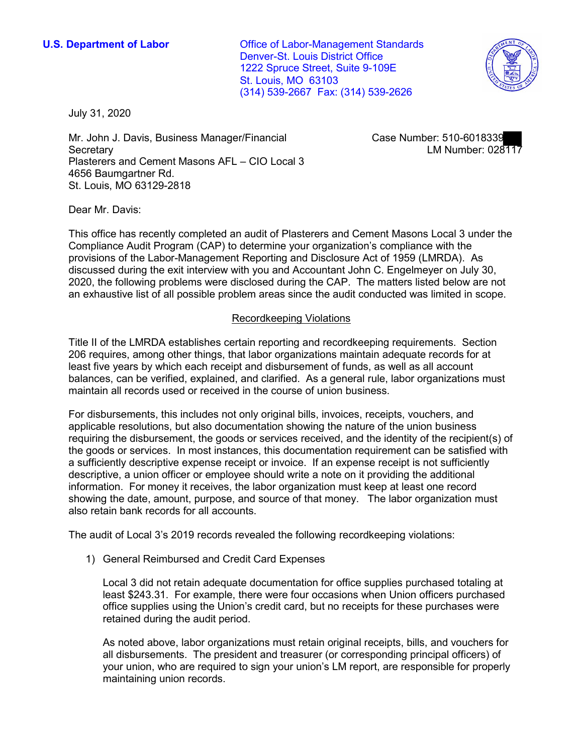(314) 539-2667 Fax: (314) 539-2626 **U.S. Department of Labor Conservative Conservative Conservative Conservative Conservative Conservative Conservative Conservative Conservative Conservative Conservative Conservative Conservative Conservative Conservative** Denver-St. Louis District Office 1222 Spruce Street, Suite 9-109E St. Louis, MO 63103



July 31, 2020

 • Mr. John J. Davis, Business Manager/Financial Case Number: 510-6018339 Secretary LM Number: 028117 Plasterers and Cement Masons AFL – CIO Local 3 4656 Baumgartner Rd. St. Louis, MO 63129-2818

Dear Mr. Davis:

 Compliance Audit Program (CAP) to determine your organization's compliance with the 2020, the following problems were disclosed during the CAP. The matters listed below are not This office has recently completed an audit of Plasterers and Cement Masons Local 3 under the provisions of the Labor-Management Reporting and Disclosure Act of 1959 (LMRDA). As discussed during the exit interview with you and Accountant John C. Engelmeyer on July 30, an exhaustive list of all possible problem areas since the audit conducted was limited in scope.

## Recordkeeping Violations

 Title II of the LMRDA establishes certain reporting and recordkeeping requirements. Section 206 requires, among other things, that labor organizations maintain adequate records for at least five years by which each receipt and disbursement of funds, as well as all account maintain all records used or received in the course of union business. balances, can be verified, explained, and clarified. As a general rule, labor organizations must

 requiring the disbursement, the goods or services received, and the identity of the recipient(s) of the goods or services. In most instances, this documentation requirement can be satisfied with a sufficiently descriptive expense receipt or invoice. If an expense receipt is not sufficiently information. For money it receives, the labor organization must keep at least one record showing the date, amount, purpose, and source of that money. The labor organization must also retain bank records for all accounts. For disbursements, this includes not only original bills, invoices, receipts, vouchers, and applicable resolutions, but also documentation showing the nature of the union business descriptive, a union officer or employee should write a note on it providing the additional

The audit of Local 3's 2019 records revealed the following recordkeeping violations:

1) General Reimbursed and Credit Card Expenses

 office supplies using the Union's credit card, but no receipts for these purchases were Local 3 did not retain adequate documentation for office supplies purchased totaling at least \$243.31. For example, there were four occasions when Union officers purchased retained during the audit period.

 As noted above, labor organizations must retain original receipts, bills, and vouchers for all disbursements. The president and treasurer (or corresponding principal officers) of maintaining union records. your union, who are required to sign your union's LM report, are responsible for properly